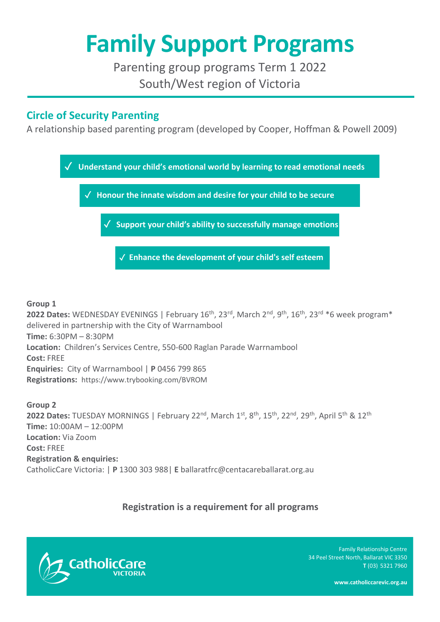# **Family Support Programs**

Parenting group programs Term 1 2022 South/West region of Victoria

## **Circle of Security Parenting**

A relationship based parenting program (developed by Cooper, Hoffman & Powell 2009)



#### **Group 1**

2022 Dates: WEDNESDAY EVENINGS | February 16<sup>th</sup>, 23<sup>rd</sup>, March 2<sup>nd</sup>, 9<sup>th</sup>, 16<sup>th</sup>, 23<sup>rd \*</sup>6 week program<sup>\*</sup> delivered in partnership with the City of Warrnambool **Time:** 6:30PM – 8:30PM **Location:** Children's Services Centre, 550-600 Raglan Parade Warrnambool **Cost:** FREE **Enquiries:** City of Warrnambool | **P** 0456 799 865 **Registrations:** [https://www.trybooking.com/BVROM](https://aus01.safelinks.protection.outlook.com/?url=https%3A%2F%2Flinkprotect.cudasvc.com%2Furl%3Fa%3Dhttps%253a%252f%252fwww.trybooking.com%252fBVROM%26c%3DE%2C1%2CesN2JRMCuliK1Ux5ehNI76LATThz9pWLc-g61M681FGun2sDIBqdR8hpru3Ksju2fL-ECL8-NLbYfHiX6iwaF0xStQshAHKl02_Lai8Gr3xeGbgkh9vNyG39y5H9%26typo%3D1&data=04%7C01%7Candrea.clarke%40centacareballarat.org.au%7Cdcfd65544abe4feef5b108d9b53a27d2%7C3853492dbcbc496baee3a20d63c1834a%7C0%7C0%7C637740084115804642%7CUnknown%7CTWFpbGZsb3d8eyJWIjoiMC4wLjAwMDAiLCJQIjoiV2luMzIiLCJBTiI6Ik1haWwiLCJXVCI6Mn0%3D%7C3000&sdata=%2FII%2BSwout%2BLVv04DgRhsSk2DzwCFrFF6Sy2bRG33HQ0%3D&reserved=0)

**Group 2**  2022 Dates: TUESDAY MORNINGS | February 22<sup>nd</sup>, March 1<sup>st</sup>, 8<sup>th</sup>, 15<sup>th</sup>, 22<sup>nd</sup>, 29<sup>th</sup>, April 5<sup>th</sup> & 12<sup>th</sup> **Time:** 10:00AM – 12:00PM **Location:** Via Zoom **Cost:** FREE **Registration & enquiries:** CatholicCare Victoria: | **P** 1300 303 988| **E** [ballaratfrc@centacareballarat.org.au](mailto:ballaratfrc@centacareballarat.org.au)

### **Registration is a requirement for all programs**



Family Relationship Centre 34 Peel Street North, Ballarat VIC 3350 **T** (03) 5321 7960

**www.catholiccarevic.org.au**